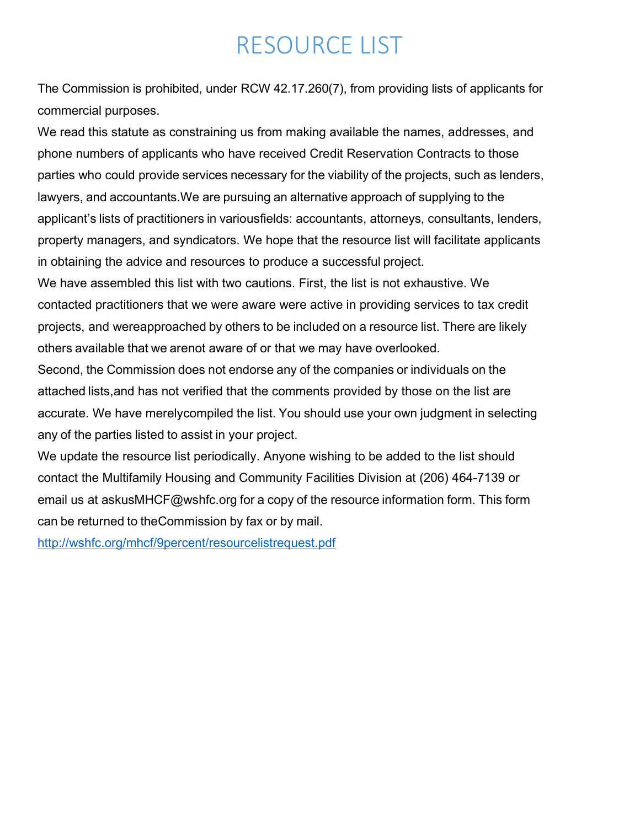# RESOURCE LIST

The Commission is prohibited, under RCW 42.17.260(7), from providing lists of applicants for commercial purposes.

We read this statute as constraining us from making available the names, addresses, and phone numbers of applicants who have received Credit Reservation Contracts to those parties who could provide services necessary for the viability of the projects, such as lenders, lawyers, and accountants.We are pursuing an alternative approach of supplying to the applicant's lists of practitioners in variousfields: accountants, attorneys, consultants, lenders, property managers, and syndicators. We hope that the resource list will facilitate applicants in obtaining the advice and resources to produce a successful project.

We have assembled this list with two cautions. First, the list is not exhaustive. We contacted practitioners that we were aware were active in providing services to tax credit projects, and wereapproached by others to be included on a resource list. There are likely others available that we arenot aware of or that we may have overlooked.

Second, the Commission does not endorse any of the companies or individuals on the attached lists,and has not verified that the comments provided by those on the list are accurate. We have merelycompiled the list. You should use your own judgment in selecting any of the parties listed to assist in your project.

We update the resource list periodically. Anyone wishing to be added to the list should contact the Multifamily Housing and Community Facilities Division at (206) 464-7139 or email us at [askusMHCF@wshfc.org](mailto:askusMHCF@wshfc.org) for a copy of the resource information form. This form can be returned to theCommission by fax or by mail.

<http://wshfc.org/mhcf/9percent/resourcelistrequest.pdf>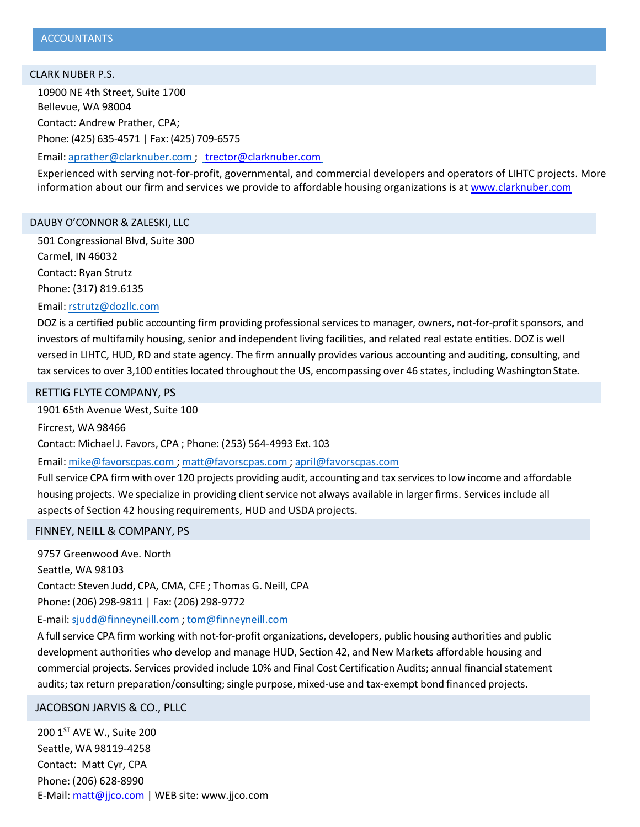#### CLARK NUBER P.S.

10900 NE 4th Street, Suite 1700 Bellevue, WA 98004 Contact: Andrew Prather, CPA; Phone: (425) 635-4571 | Fax: (425) 709-6575

Email: [aprather@clarknuber.com](mailto:aprather@clarknuber.com) ; [trector@clarknuber.com](mailto:trector@clarknuber.com)

Experienced with serving not-for-profit, governmental, and commercial developers and operators of LIHTC projects. More information about our firm and services we provide to affordable housing organizations is at [www.clarknuber.com](http://www.clarknuber.com/)

#### DAUBY O'CONNOR & ZALESKI, LLC

501 Congressional Blvd, Suite 300 Carmel, IN 46032 Contact: Ryan Strutz Phone: (317) 819.6135

Email: [rstrutz@dozllc.com](mailto:bfarrington@doz.net)

DOZ is a certified public accounting firm providing professional services to manager, owners, not-for-profit sponsors, and investors of multifamily housing, senior and independent living facilities, and related real estate entities. DOZ is well versed in LIHTC, HUD, RD and state agency. The firm annually provides various accounting and auditing, consulting, and tax services to over 3,100 entities located throughout the US, encompassing over 46 states, including Washington State.

RETTIG FLYTE COMPANY, PS

1901 65th Avenue West, Suite 100

Fircrest, WA 98466 Contact: Michael J. Favors, CPA ; Phone: (253) 564-4993 Ext. 103

Email: [mike@favorscpas.com](mailto:mike@favorscpas.com) ; [matt@favorscpas.com](mailto:matt@favorscpas.com) ; [april@favorscpas.com](mailto:april@favorscpas.com)

Full service CPA firm with over 120 projects providing audit, accounting and tax services to low income and affordable housing projects. We specialize in providing client service not always available in larger firms. Services include all aspects of Section 42 housing requirements, HUD and USDA projects.

#### FINNEY, NEILL & COMPANY, PS

9757 Greenwood Ave. North Seattle, WA 98103 Contact: Steven Judd, CPA, CMA, CFE ; Thomas G. Neill, CPA Phone: (206) 298-9811 | Fax: (206) 298-9772

E-mail: [sjudd@finneyneill.com](mailto:sjudd@finneyneill.com) ; [tom@finneyneill.com](mailto:tom@finneyneill.com)

A full service CPA firm working with not-for-profit organizations, developers, public housing authorities and public development authorities who develop and manage HUD, Section 42, and New Markets affordable housing and commercial projects. Services provided include 10% and Final Cost Certification Audits; annual financial statement audits; tax return preparation/consulting; single purpose, mixed-use and tax-exempt bond financed projects.

JACOBSON JARVIS & CO., PLLC

200 1<sup>ST</sup> AVE W., Suite 200 Seattle, WA 98119-4258 Contact: Matt Cyr, CPA Phone: (206) 628-8990 E-Mail: [matt@jjco.com](mailto:matt@jjco.com) | WEB site: [www.jjco.com](http://www.jjco.com/)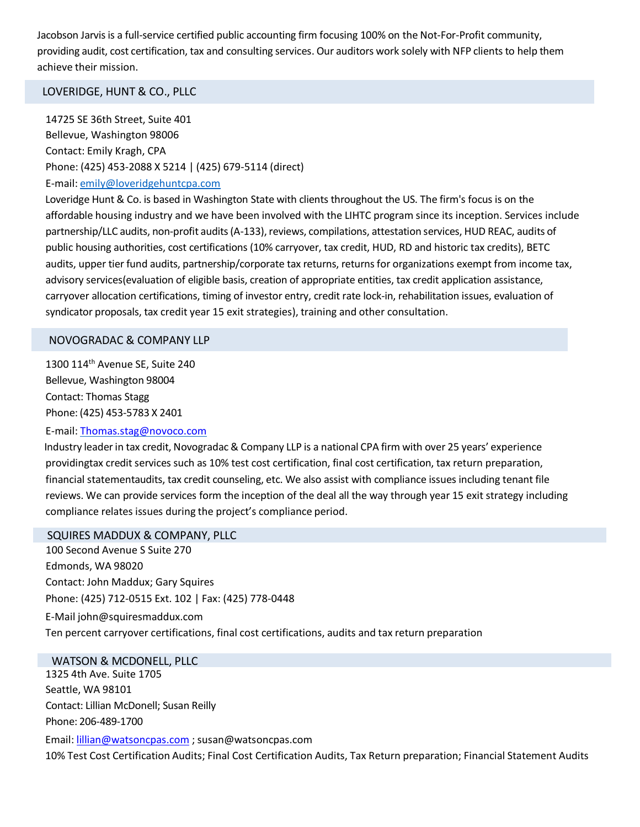Jacobson Jarvis is a full-service certified public accounting firm focusing 100% on the Not-For-Profit community, providing audit, cost certification, tax and consulting services. Our auditors work solely with NFP clients to help them achieve their mission.

# LOVERIDGE, HUNT & CO., PLLC

14725 SE 36th Street, Suite 401 Bellevue, Washington 98006 Contact: Emily Kragh, CPA Phone: (425) 453-2088 X 5214 | (425) 679-5114 (direct) E-mail: [emily@loveridgehuntcpa.com](mailto:emily@loveridgehuntcpa.com)

Loveridge Hunt & Co. is based in Washington State with clients throughout the US. The firm's focus is on the affordable housing industry and we have been involved with the LIHTC program since its inception. Services include partnership/LLC audits, non-profit audits (A-133), reviews, compilations, attestation services, HUD REAC, audits of public housing authorities, cost certifications (10% carryover, tax credit, HUD, RD and historic tax credits), BETC audits, upper tier fund audits, partnership/corporate tax returns, returns for organizations exempt from income tax, advisory services(evaluation of eligible basis, creation of appropriate entities, tax credit application assistance, carryover allocation certifications, timing of investor entry, credit rate lock-in, rehabilitation issues, evaluation of syndicator proposals, tax credit year 15 exit strategies), training and other consultation.

# NOVOGRADAC & COMPANY LLP

1300 114th Avenue SE, Suite 240 Bellevue, Washington 98004 Contact: Thomas Stagg Phone: (425) 453-5783 X 2401

# E-mail: [Thomas.stag@novoco.com](mailto:Thomas.stag@novoco.com)

Industry leaderin tax credit, Novogradac & Company LLP is a national CPA firm with over 25 years' experience providingtax credit services such as 10% test cost certification, final cost certification, tax return preparation, financial statementaudits, tax credit counseling, etc. We also assist with compliance issues including tenant file reviews. We can provide services form the inception of the deal all the way through year 15 exit strategy including compliance relates issues during the project's compliance period.

### SQUIRES MADDUX & COMPANY, PLLC

100 Second Avenue S Suite 270 Edmonds, WA 98020 Contact: John Maddux; Gary Squires Phone: (425) 712-0515 Ext. 102 | Fax: (425) 778-0448 E-Mail [john@squiresmaddux.com](mailto:john@squiresmaddux.com) Ten percent carryover certifications, final cost certifications, audits and tax return preparation

#### WATSON & MCDONELL, PLLC

1325 4th Ave. Suite 1705 Seattle, WA 98101 Contact: Lillian McDonell; Susan Reilly Phone: 206-489-1700 Email: [lillian@watsoncpas.com](mailto:lillian@watsoncpas.com) ; [susan@watsoncpas.com](mailto:susan@watsoncpas.com)  10% Test Cost Certification Audits; Final Cost Certification Audits, Tax Return preparation; Financial Statement Audits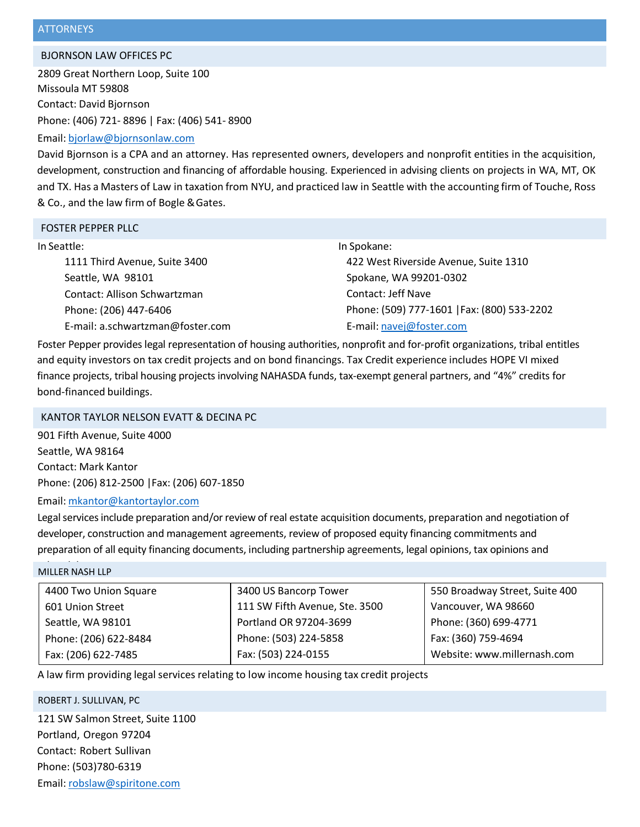#### BJORNSON LAW OFFICES PC

2809 Great Northern Loop, Suite 100 Missoula MT 59808 Contact: David Bjornson Phone: (406) 721- 8896 | Fax: (406) 541- 8900

# Email: [bjorlaw@bjornsonlaw.com](mailto:bjorlaw@bjornsonlaw.com)

David Bjornson is a CPA and an attorney. Has represented owners, developers and nonprofit entities in the acquisition, development, construction and financing of affordable housing. Experienced in advising clients on projects in WA, MT, OK and TX. Has a Masters of Law in taxation from NYU, and practiced law in Seattle with the accounting firm of Touche, Ross & Co., and the law firm of Bogle &Gates.

#### FOSTER PEPPER PLLC

#### In Seattle: In Spokane:

1111 Third Avenue, Suite 3400 Seattle, WA 98101 Contact: Allison Schwartzman Phone: (206) 447-6406 E-mail: a.schwartzman@foster.com 422 West Riverside Avenue, Suite 1310 Spokane, WA 99201-0302 Contact: Jeff Nave Phone: (509) 777-1601 |Fax: (800) 533-2202 E-mail: [navej@foster.com](mailto:navej@foster.com)

Foster Pepper provides legal representation of housing authorities, nonprofit and for-profit organizations, tribal entitles and equity investors on tax credit projects and on bond financings. Tax Credit experience includes HOPE VI mixed finance projects, tribal housing projects involving NAHASDA funds, tax-exempt general partners, and "4%" credits for bond-financed buildings.

# KANTOR TAYLOR NELSON EVATT & DECINA PC

901 Fifth Avenue, Suite 4000 Seattle, WA 98164 Contact: Mark Kantor Phone: (206) 812-2500 |Fax: (206) 607-1850

# Email: [mkantor@kantortaylor.com](mailto:mkantor@kantortaylor.com)

Legal services include preparation and/or review of real estate acquisition documents, preparation and negotiation of developer, construction and management agreements, review of proposed equity financing commitments and preparation of all equity financing documents, including partnership agreements, legal opinions, tax opinions and

# MILLER NASH LLP

| 4400 Two Union Square | 3400 US Bancorp Tower          | 550 Broadway Street, Suite 400 |
|-----------------------|--------------------------------|--------------------------------|
| 601 Union Street      | 111 SW Fifth Avenue, Ste. 3500 | Vancouver, WA 98660            |
| Seattle, WA 98101     | Portland OR 97204-3699         | Phone: (360) 699-4771          |
| Phone: (206) 622-8484 | Phone: (503) 224-5858          | Fax: (360) 759-4694            |
| Fax: (206) 622-7485   | Fax: (503) 224-0155            | Website: www.millernash.com    |

A law firm providing legal services relating to low income housing tax credit projects

## ROBERT J. SULLIVAN, PC

121 SW Salmon Street, Suite 1100 Portland, Oregon 97204 Contact: Robert Sullivan Phone: (503)780-6319 Email: [robslaw@spiritone.com](mailto:robslaw@spiritone.com)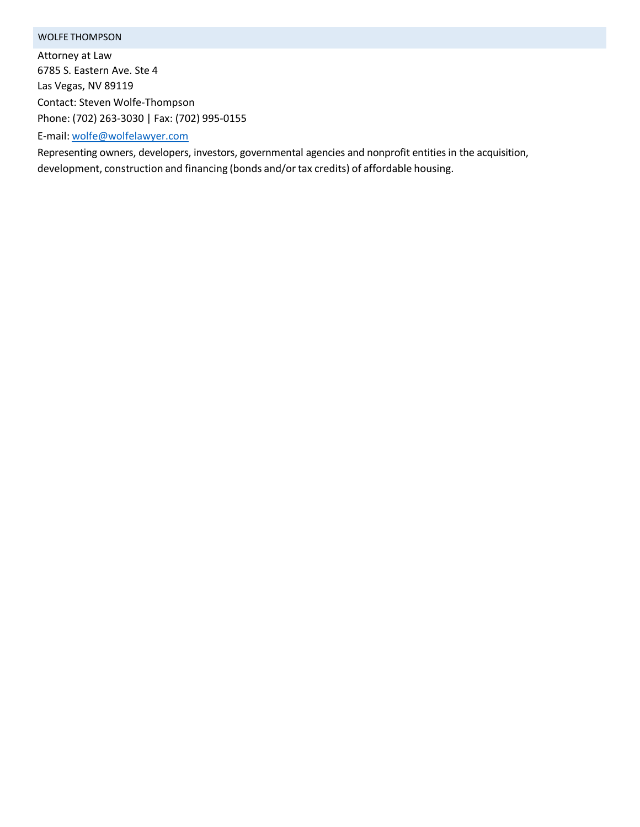# WOLFE THOMPSON

Attorney at Law 6785 S. Eastern Ave. Ste 4 Las Vegas, NV 89119 Contact: Steven Wolfe-Thompson Phone: (702) 263-3030 | Fax: (702) 995-0155

E-mail: [wolfe@wolfelawyer.com](mailto:wolfe@wolfelawyer.com)

Representing owners, developers, investors, governmental agencies and nonprofit entities in the acquisition, development, construction and financing (bonds and/or tax credits) of affordable housing.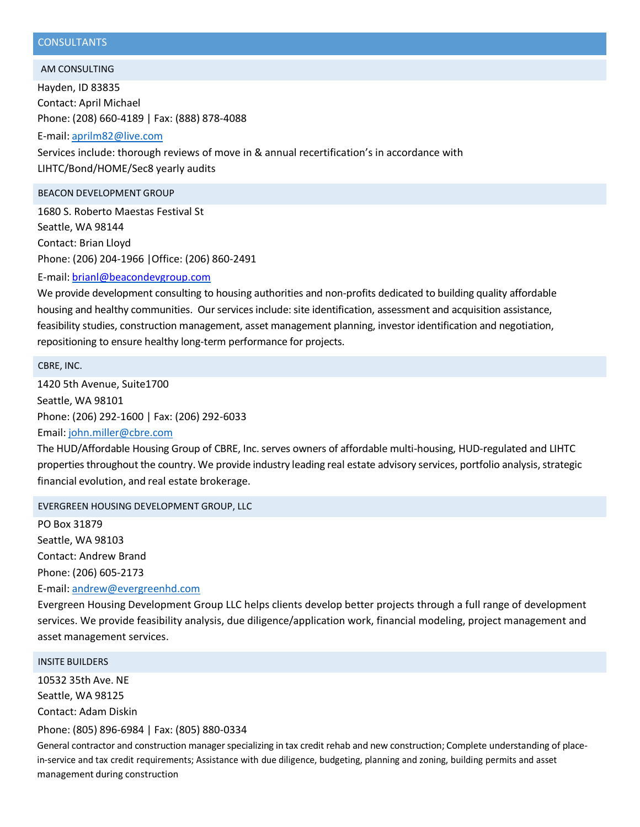# **CONSULTANTS**

AM CONSULTING

Hayden, ID 83835 Contact: April Michael Phone: (208) 660-4189 | Fax: (888) 878-4088

E-mail: [aprilm82@live.com](mailto:aprilm82@live.com) Services include: thorough reviews of move in & annual recertification's in accordance with LIHTC/Bond/HOME/Sec8 yearly audits

#### BEACON DEVELOPMENT GROUP

1680 S. Roberto Maestas Festival St Seattle, WA 98144 Contact: Brian Lloyd Phone: (206) 204-1966 |Office: (206) 860-2491

E-mail: [brianl@beacondevgroup.com](mailto:brianl@beacondevgroup.com)

We provide development consulting to housing authorities and non-profits dedicated to building quality affordable housing and healthy communities. Our services include: site identification, assessment and acquisition assistance, feasibility studies, construction management, asset management planning, investor identification and negotiation, repositioning to ensure healthy long-term performance for projects.

CBRE, INC.

1420 5th Avenue, Suite1700 Seattle, WA 98101 Phone: (206) 292-1600 | Fax: (206) 292-6033 Email: [john.miller@cbre.com](mailto:john.miller@cbre.com)

The HUD/Affordable Housing Group of CBRE, Inc. serves owners of affordable multi-housing, HUD-regulated and LIHTC properties throughout the country. We provide industry leading real estate advisory services, portfolio analysis, strategic financial evolution, and real estate brokerage.

EVERGREEN HOUSING DEVELOPMENT GROUP, LLC

PO Box 31879 Seattle, WA 98103 Contact: Andrew Brand Phone: (206) 605-2173 E-mail: [andrew@evergreenhd.com](mailto:andrew@evergreenhd.com)

Evergreen Housing Development Group LLC helps clients develop better projects through a full range of development services. We provide feasibility analysis, due diligence/application work, financial modeling, project management and asset management services.

#### INSITE BUILDERS

10532 35th Ave. NE Seattle, WA 98125 Contact: Adam Diskin

Phone: (805) 896-6984 | Fax: (805) 880-0334

General contractor and construction manager specializing in tax credit rehab and new construction; Complete understanding of placein-service and tax credit requirements; Assistance with due diligence, budgeting, planning and zoning, building permits and asset management during construction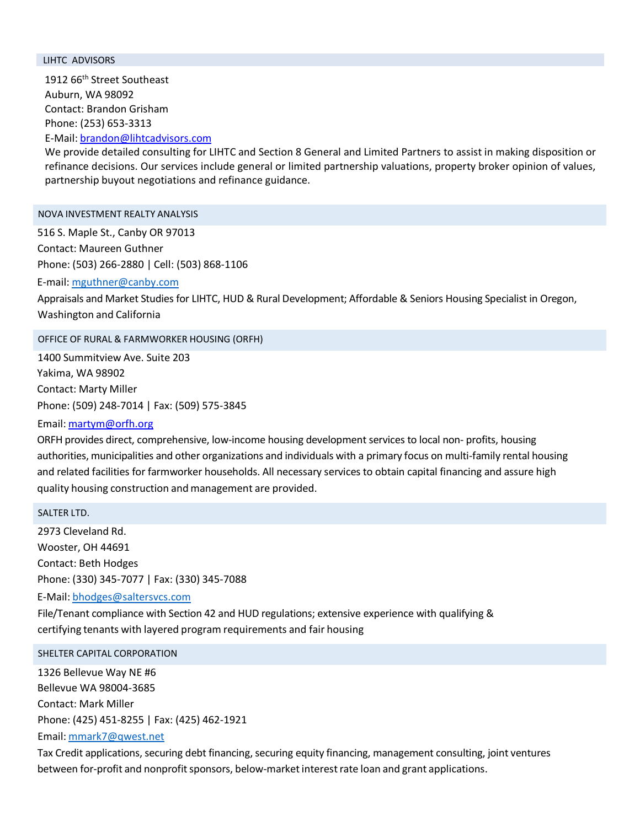#### LIHTC ADVISORS

1912 66<sup>th</sup> Street Southeast Auburn, WA 98092 Contact: Brandon Grisham Phone: (253) 653-3313

E-Mail: [brandon@lihtcadvisors.com](mailto:brandon@lihtcadvisors.com)

We provide detailed consulting for LIHTC and Section 8 General and Limited Partners to assist in making disposition or refinance decisions. Our services include general or limited partnership valuations, property broker opinion of values, partnership buyout negotiations and refinance guidance.

### NOVA INVESTMENT REALTY ANALYSIS

516 S. Maple St., Canby OR 97013 Contact: Maureen Guthner Phone: (503) 266-2880 | Cell: (503) 868-1106

E-mail: [mguthner@canby.com](mailto:mguthner@canby.com)

Appraisals and Market Studies for LIHTC, HUD & Rural Development; Affordable & Seniors Housing Specialist in Oregon, Washington and California

#### OFFICE OF RURAL & FARMWORKER HOUSING (ORFH)

1400 Summitview Ave. Suite 203 Yakima, WA 98902 Contact: Marty Miller Phone: (509) 248-7014 | Fax: (509) 575-3845

# Email: [martym@orfh.org](mailto:martym@orfh.org)

ORFH provides direct, comprehensive, low-income housing development services to local non- profits, housing authorities, municipalities and other organizations and individuals with a primary focus on multi-family rental housing and related facilities for farmworker households. All necessary services to obtain capital financing and assure high quality housing construction and management are provided.

#### SALTER LTD.

2973 Cleveland Rd. Wooster, OH 44691 Contact: Beth Hodges Phone: (330) 345-7077 | Fax: (330) 345-7088

E-Mail: [bhodges@saltersvcs.com](mailto:bhodges@saltersvcs.com)

File/Tenant compliance with Section 42 and HUD regulations; extensive experience with qualifying & certifying tenants with layered program requirements and fair housing

#### SHELTER CAPITAL CORPORATION

1326 Bellevue Way NE #6 Bellevue WA 98004-3685 Contact: Mark Miller Phone: (425) 451-8255 | Fax: (425) 462-1921 Email: [mmark7@qwest.net](mailto:mmark7@qwest.net)

Tax Credit applications, securing debt financing, securing equity financing, management consulting, joint ventures between for-profit and nonprofit sponsors, below-market interest rate loan and grant applications.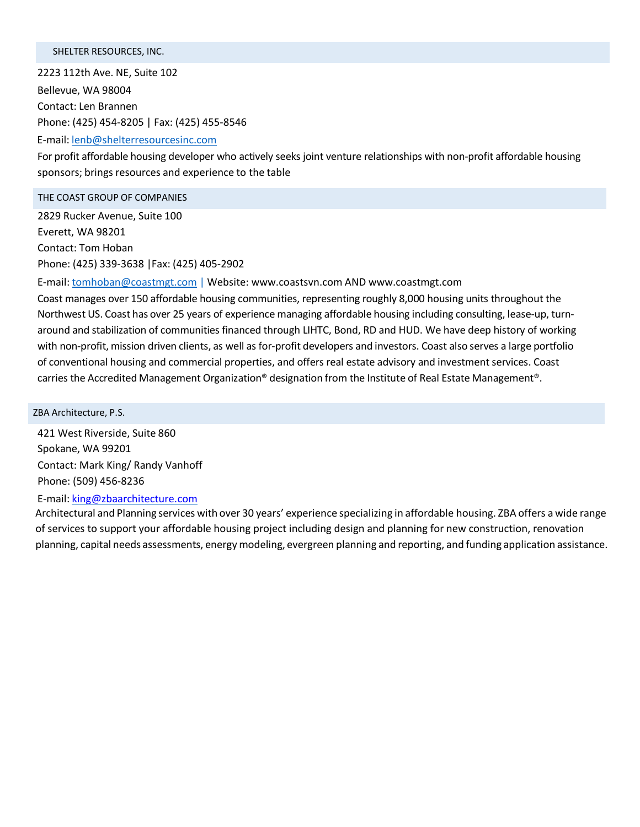### SHELTER RESOURCES, INC.

2223 112th Ave. NE, Suite 102 Bellevue, WA 98004 Contact: Len Brannen Phone: (425) 454-8205 | Fax: (425) 455-8546

E-mail: [lenb@shelterresourcesinc.com](mailto:lenb@shelterresourcesinc.com)

For profit affordable housing developer who actively seeks joint venture relationships with non-profit affordable housing sponsors; brings resources and experience to the table

#### THE COAST GROUP OF COMPANIES

2829 Rucker Avenue, Suite 100 Everett, WA 98201 Contact: Tom Hoban Phone: (425) 339-3638 |Fax: (425) 405-2902

E-mail: [tomhoban@coastmgt.com](mailto:tomhoban@coastmgt.com) | Website: [www.coastsvn.com](http://www.coastsvn.com/) AND [www.coastmgt.com](http://www.coastmgt.com/)

Coast manages over 150 affordable housing communities, representing roughly 8,000 housing units throughout the Northwest US. Coast has over 25 years of experience managing affordable housing including consulting, lease-up, turnaround and stabilization of communities financed through LIHTC, Bond, RD and HUD. We have deep history of working with non-profit, mission driven clients, as well as for-profit developers and investors. Coast also serves a large portfolio of conventional housing and commercial properties, and offers real estate advisory and investment services. Coast carries the Accredited Management Organization® designation from the Institute of Real Estate Management®.

ZBA Architecture, P.S.

421 West Riverside, Suite 860 Spokane, WA 99201 Contact: Mark King/ Randy Vanhoff Phone: (509) 456-8236

E-mail: [king@zbaarchitecture.com](mailto:king@zbaarchitecture.com)

Architectural and Planning services with over 30 years' experience specializing in affordable housing. ZBA offers a wide range of services to support your affordable housing project including design and planning for new construction, renovation planning, capital needs assessments, energy modeling, evergreen planning and reporting, and funding application assistance.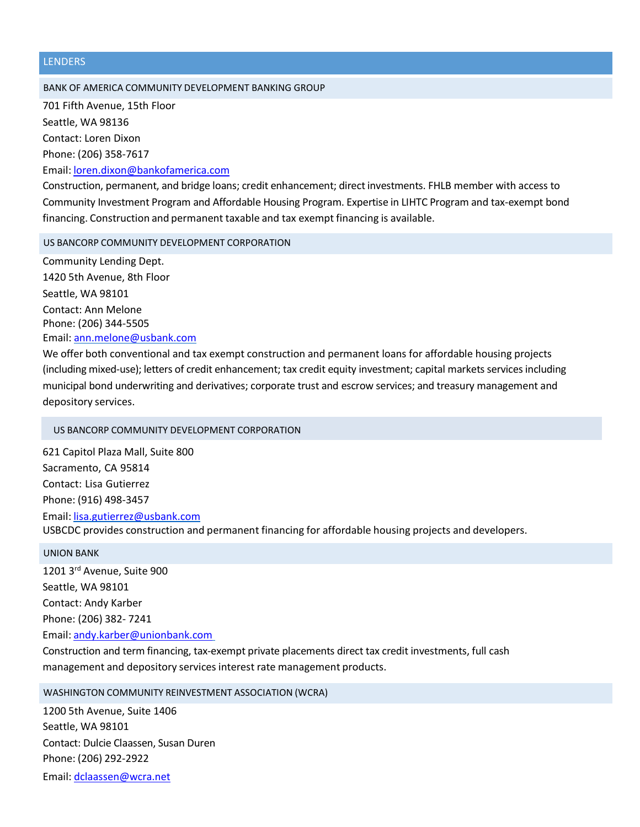#### LENDERS

#### BANK OF AMERICA COMMUNITY DEVELOPMENT BANKING GROUP

701 Fifth Avenue, 15th Floor Seattle, WA 98136 Contact: Loren Dixon Phone: (206) 358-7617 Email: [loren.dixon@bankofamerica.com](mailto:loren.dixon@bankofamerica.com)

Construction, permanent, and bridge loans; credit enhancement; direct investments. FHLB member with access to Community Investment Program and Affordable Housing Program. Expertise in LIHTC Program and tax-exempt bond financing. Construction and permanent taxable and tax exempt financing is available.

#### US BANCORP COMMUNITY DEVELOPMENT CORPORATION

Community Lending Dept. 1420 5th Avenue, 8th Floor Seattle, WA 98101 Contact: Ann Melone Phone: (206) 344-5505 Email: [ann.melone@usbank.com](mailto:ann.melone@usbank.com)

We offer both conventional and tax exempt construction and permanent loans for affordable housing projects (including mixed-use); letters of credit enhancement; tax credit equity investment; capital markets services including municipal bond underwriting and derivatives; corporate trust and escrow services; and treasury management and depository services.

#### US BANCORP COMMUNITY DEVELOPMENT CORPORATION

621 Capitol Plaza Mall, Suite 800 Sacramento, CA 95814 Contact: Lisa Gutierrez Phone: (916) 498-3457 Email: [lisa.gutierrez@usbank.com](mailto:lisa.gutierrez@usbank.com) USBCDC provides construction and permanent financing for affordable housing projects and developers.

#### UNION BANK

1201 3rd Avenue, Suite 900 Seattle, WA 98101 Contact: Andy Karber Phone: (206) 382- 7241 Email: [andy.karber@unionbank.com](mailto:andy.karber@unionbank.com)

Construction and term financing, tax-exempt private placements direct tax credit investments, full cash management and depository services interest rate management products.

#### WASHINGTON COMMUNITY REINVESTMENT ASSOCIATION (WCRA)

1200 5th Avenue, Suite 1406 Seattle, WA 98101 Contact: Dulcie Claassen, Susan Duren Phone: (206) 292-2922 Email: [dclaassen@wcra.net](mailto:dclaassen@wcra.net)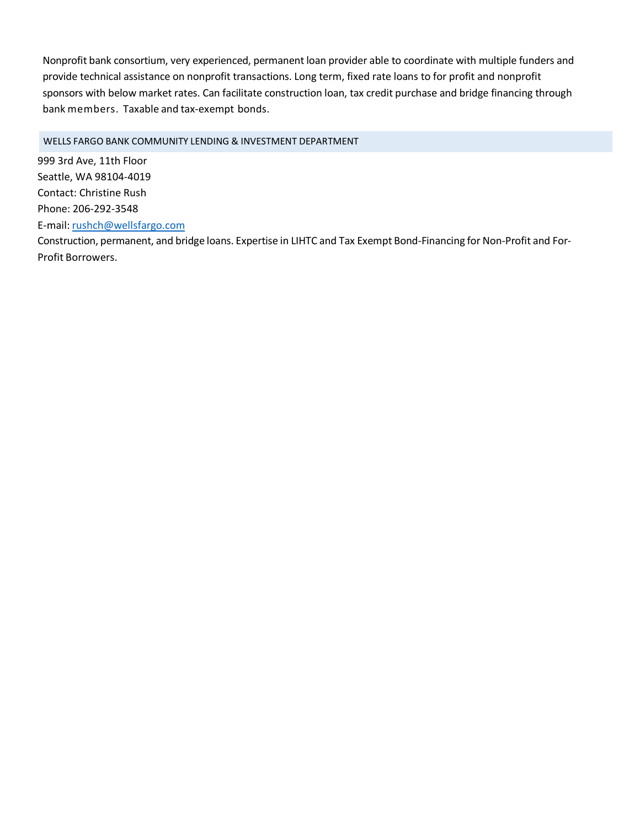Nonprofit bank consortium, very experienced, permanent loan provider able to coordinate with multiple funders and provide technical assistance on nonprofit transactions. Long term, fixed rate loans to for profit and nonprofit sponsors with below market rates. Can facilitate construction loan, tax credit purchase and bridge financing through bank members. Taxable and tax-exempt bonds.

WELLS FARGO BANK COMMUNITY LENDING & INVESTMENT DEPARTMENT

999 3rd Ave, 11th Floor Seattle, WA 98104-4019 Contact: Christine Rush Phone: 206-292-3548 E-mail: [rushch@wellsfargo.com](mailto:rushch@wellsfargo.com)

Construction, permanent, and bridge loans. Expertise in LIHTC and Tax Exempt Bond-Financing for Non-Profit and For-Profit Borrowers.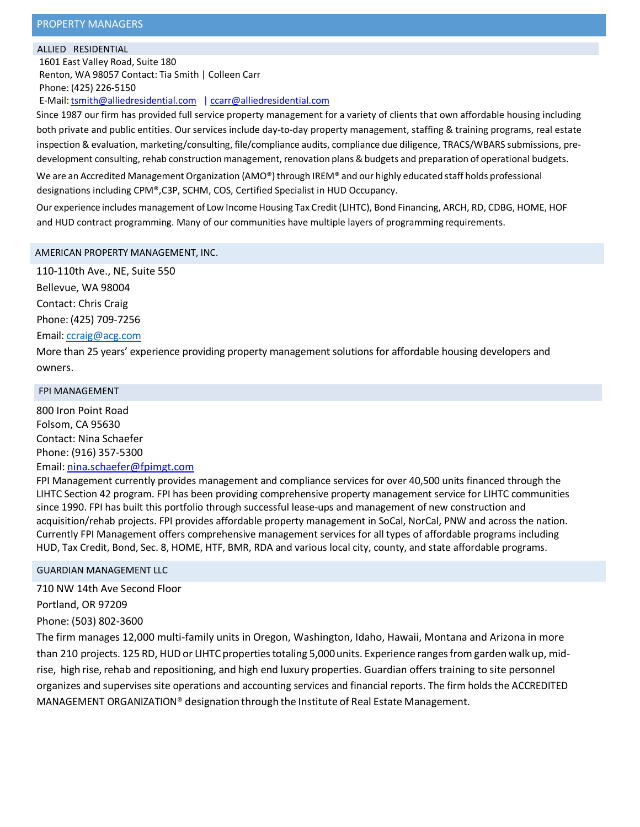#### ALLIED RESIDENTIAL

1601 East Valley Road, Suite 180 Renton, WA 98057 Contact: Tia Smith | Colleen Carr Phone: (425) 226-5150

E-Mail: tsmith@alliedresidential.com [| ccarr@alliedresidential.com](mailto:ccarr@alliedresidential.com)

Since 1987 our firm has provided full service property management for a variety of clients that own affordable housing including both private and public entities. Our services include day-to-day property management, staffing & training programs, real estate inspection & evaluation, marketing/consulting, file/compliance audits, compliance due diligence, TRACS/WBARS submissions, predevelopment consulting, rehab construction management, renovation plans&budgets and preparation of operational budgets.

We are an Accredited Management Organization (AMO®) through IREM® and our highly educated staff holds professional designations including CPM®,C3P, SCHM, COS, Certified Specialist in HUD Occupancy.

Our experience includes management of Low Income Housing Tax Credit (LIHTC), Bond Financing, ARCH, RD, CDBG, HOME, HOF and HUD contract programming. Many of our communities have multiple layers of programming requirements.

#### AMERICAN PROPERTY MANAGEMENT, INC.

110-110th Ave., NE, Suite 550

Bellevue, WA 98004 Contact: Chris Craig Phone: (425) 709-7256

# Email: [ccraig@acg.com](mailto:ccraig@acg.com)

More than 25 years' experience providing property management solutions for affordable housing developers and owners.

#### FPI MANAGEMENT

800 Iron Point Road Folsom, CA 95630 Contact: Nina Schaefer Phone: (916) 357-5300 Email: [nina.schaefer@fpimgt.com](mailto:nina.schaefer@fpimgt.com)

FPI Management currently provides management and compliance services for over 40,500 units financed through the LIHTC Section 42 program. FPI has been providing comprehensive property management service for LIHTC communities since 1990. FPI has built this portfolio through successful lease-ups and management of new construction and acquisition/rehab projects. FPI provides affordable property management in SoCal, NorCal, PNW and across the nation. Currently FPI Management offers comprehensive management services for all types of affordable programs including HUD, Tax Credit, Bond, Sec. 8, HOME, HTF, BMR, RDA and various local city, county, and state affordable programs.

GUARDIAN MANAGEMENT LLC

710 NW 14th Ave Second Floor Portland, OR 97209 Phone: (503) 802-3600

The firm manages 12,000 multi-family units in Oregon, Washington, Idaho, Hawaii, Montana and Arizona in more than 210 projects. 125 RD, HUD or LIHTC properties totaling 5,000 units. Experience ranges from garden walk up, midrise, high rise, rehab and repositioning, and high end luxury properties. Guardian offers training to site personnel organizes and supervises site operations and accounting services and financial reports. The firm holds the ACCREDITED MANAGEMENT ORGANIZATION® designationthrough the Institute of Real Estate Management.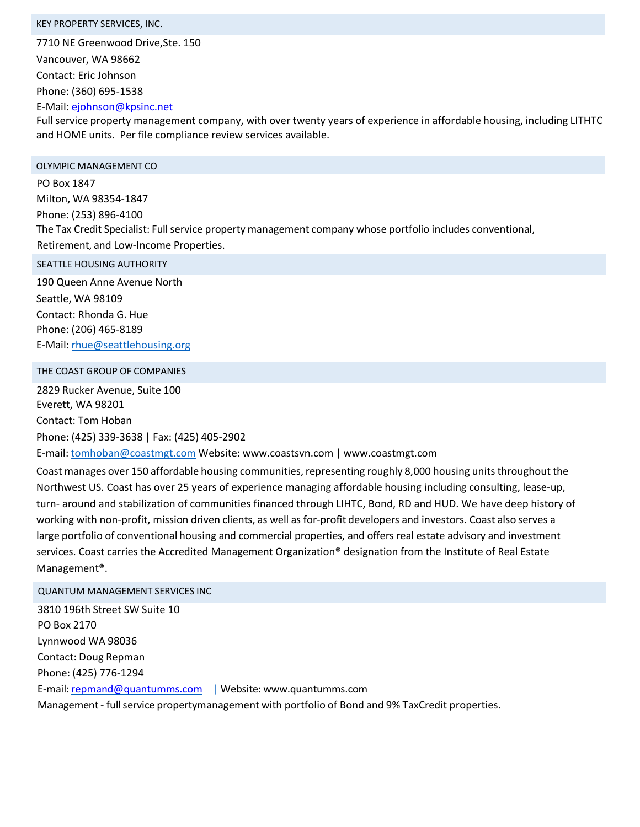#### KEY PROPERTY SERVICES, INC.

7710 NE Greenwood Drive,Ste. 150

Vancouver, WA 98662

Contact: Eric Johnson

Phone: (360) 695-1538

E-Mail: [ejohnson@kpsinc.net](mailto:ejohnson@kpsinc.net)

Full service property management company, with over twenty years of experience in affordable housing, including LITHTC and HOME units. Per file compliance review services available.

#### OLYMPIC MANAGEMENT CO

PO Box 1847 Milton, WA 98354-1847 Phone: (253) 896-4100 The Tax Credit Specialist: Full service property management company whose portfolio includes conventional, Retirement, and Low-Income Properties.

SEATTLE HOUSING AUTHORITY

190 Queen Anne Avenue North Seattle, WA 98109 Contact: Rhonda G. Hue Phone: (206) 465-8189 E-Mail: [rhue@seattlehousing.org](mailto:rhue@seattlehousing.org)

# THE COAST GROUP OF COMPANIES

2829 Rucker Avenue, Suite 100 Everett, WA 98201 Contact: Tom Hoban Phone: (425) 339-3638 | Fax: (425) 405-2902

E-mail: [tomhoban@coastmgt.com](mailto:tomhoban@coastmgt.com) Website: [www.coastsvn.com](http://www.coastsvn.com/) | [www.coastmgt.com](http://www.coastmgt.com/)

Coast manages over 150 affordable housing communities, representing roughly 8,000 housing units throughout the Northwest US. Coast has over 25 years of experience managing affordable housing including consulting, lease-up, turn- around and stabilization of communities financed through LIHTC, Bond, RD and HUD. We have deep history of working with non-profit, mission driven clients, as well as for-profit developers and investors. Coast also serves a large portfolio of conventional housing and commercial properties, and offers real estate advisory and investment services. Coast carries the Accredited Management Organization® designation from the Institute of Real Estate Management®.

#### QUANTUM MANAGEMENT SERVICES INC

3810 196th Street SW Suite 10 PO Box 2170 Lynnwood WA 98036 Contact: Doug Repman Phone: (425) 776-1294 E-mail: repmand@quantumms.com | Website: [www.quantumms.com](http://www.quantumms.com/) Management - full service propertymanagement with portfolio of Bond and 9% TaxCredit properties.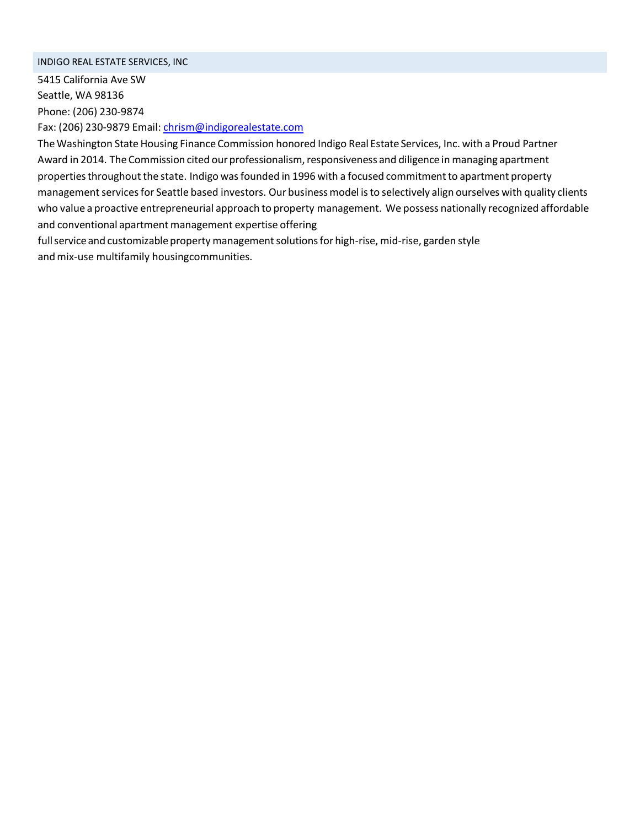#### INDIGO REAL ESTATE SERVICES, INC

5415 California Ave SW Seattle, WA 98136 Phone: (206) 230-9874

Fax: (206) 230-9879 Email: [chrism@indigorealestate.com](mailto:chrism@indigorealestate.com)

TheWashington State Housing Finance Commission honored Indigo Real Estate Services, Inc. with a Proud Partner Award in 2014. The Commission cited our professionalism, responsiveness and diligence in managing apartment propertiesthroughout the state. Indigo wasfounded in 1996 with a focused commitmentto apartment property management services for Seattle based investors. Our business model is to selectively align ourselves with quality clients who value a proactive entrepreneurial approach to property management. We possess nationally recognized affordable and conventional apartment management expertise offering

full service and customizable property management solutions for high-rise, mid-rise, garden style and mix-use multifamily housingcommunities.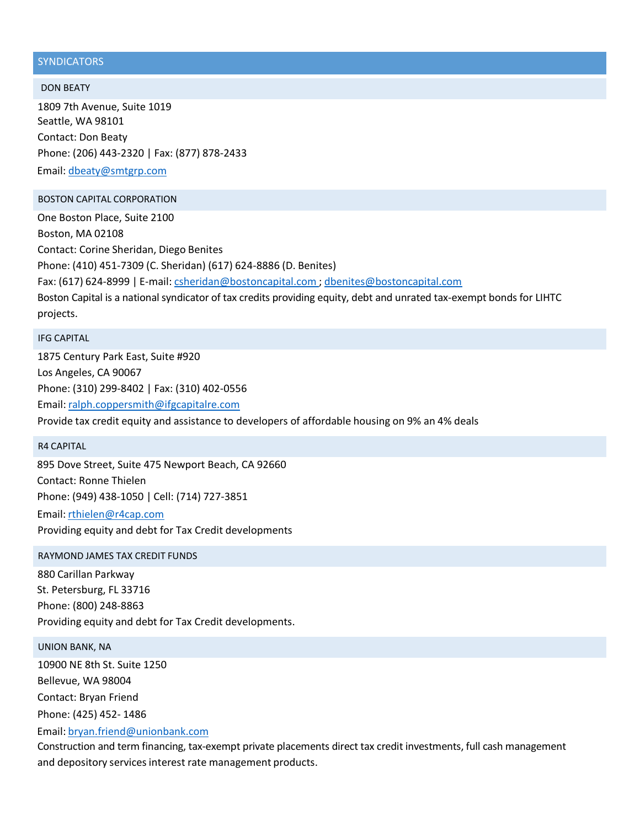### **SYNDICATORS**

#### DON BEATY

1809 7th Avenue, Suite 1019 Seattle, WA 98101 Contact: Don Beaty Phone: (206) 443-2320 | Fax: (877) 878-2433 Email: [dbeaty@smtgrp.com](mailto:dbeaty@smtgrp.com)

#### BOSTON CAPITAL CORPORATION

One Boston Place, Suite 2100 Boston, MA 02108 Contact: Corine Sheridan, Diego Benites Phone: (410) 451-7309 (C. Sheridan) (617) 624-8886 (D. Benites) Fax: (617) 624-8999 | E-mail: [csheridan@bostoncapital.com](mailto:csheridan@bostoncapital.com) ; [dbenites@bostoncapital.com](mailto:dbenites@bostoncapital.com) Boston Capital is a national syndicator of tax credits providing equity, debt and unrated tax-exempt bonds for LIHTC projects.

#### IFG CAPITAL

1875 Century Park East, Suite #920 Los Angeles, CA 90067 Phone: (310) 299-8402 | Fax: (310) 402-0556 Email: [ralph.coppersmith@ifgcapitalre.com](mailto:ralph.coppersmith@ifgcapitalre.com) Provide tax credit equity and assistance to developers of affordable housing on 9% an 4% deals

#### R4 CAPITAL

895 Dove Street, Suite 475 Newport Beach, CA 92660 Contact: Ronne Thielen Phone: (949) 438-1050 | Cell: (714) 727-3851 Email: [rthielen@r4cap.com](mailto:rthielen@r4cap.com) Providing equity and debt for Tax Credit developments

#### RAYMOND JAMES TAX CREDIT FUNDS

880 Carillan Parkway St. Petersburg, FL 33716 Phone: (800) 248-8863 Providing equity and debt for Tax Credit developments.

#### UNION BANK, NA

10900 NE 8th St. Suite 1250 Bellevue, WA 98004 Contact: Bryan Friend Phone: (425) 452- 1486

Email: [bryan.friend@unionbank.com](mailto:bryan.friend@unionbank.com)

Construction and term financing, tax-exempt private placements direct tax credit investments, full cash management and depository services interest rate management products.